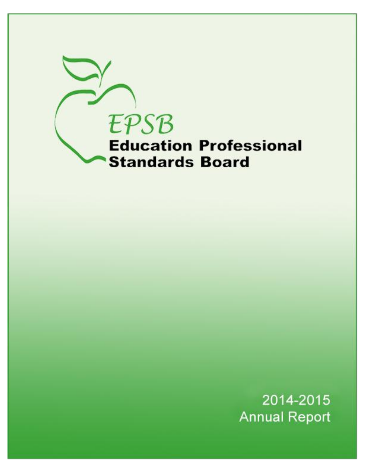

2014-2015 **Annual Report**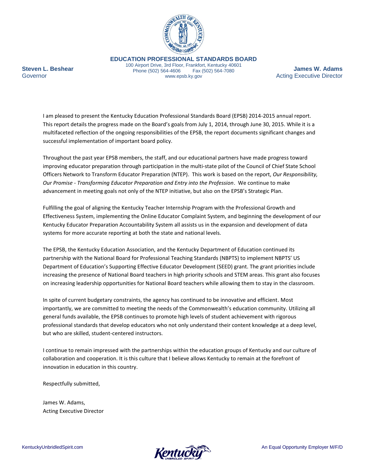

**EDUCATION PROFESSIONAL STANDARDS BOARD**

100 Airport Drive, 3rd Floor, Frankfort, Kentucky 40601 Phone (502) 564-4606 Fax (502) 564-7080 www.epsb.ky.gov

**James W. Adams** Acting Executive Director

I am pleased to present the Kentucky Education Professional Standards Board (EPSB) 2014-2015 annual report. This report details the progress made on the Board's goals from July 1, 2014, through June 30, 2015. While it is a multifaceted reflection of the ongoing responsibilities of the EPSB, the report documents significant changes and successful implementation of important board policy.

Throughout the past year EPSB members, the staff, and our educational partners have made progress toward improving educator preparation through participation in the multi-state pilot of the Council of Chief State School Officers Network to Transform Educator Preparation (NTEP). This work is based on the report, *Our Responsibility, Our Promise - Transforming Educator Preparation and Entry into the Profession*. We continue to make advancement in meeting goals not only of the NTEP initiative, but also on the EPSB's Strategic Plan.

Fulfilling the goal of aligning the Kentucky Teacher Internship Program with the Professional Growth and Effectiveness System, implementing the Online Educator Complaint System, and beginning the development of our Kentucky Educator Preparation Accountability System all assists us in the expansion and development of data systems for more accurate reporting at both the state and national levels.

The EPSB, the Kentucky Education Association, and the Kentucky Department of Education continued its partnership with the National Board for Professional Teaching Standards (NBPTS) to implement NBPTS' US Department of Education's Supporting Effective Educator Development (SEED) grant. The grant priorities include increasing the presence of National Board teachers in high priority schools and STEM areas. This grant also focuses on increasing leadership opportunities for National Board teachers while allowing them to stay in the classroom.

In spite of current budgetary constraints, the agency has continued to be innovative and efficient. Most importantly, we are committed to meeting the needs of the Commonwealth's education community. Utilizing all general funds available, the EPSB continues to promote high levels of student achievement with rigorous professional standards that develop educators who not only understand their content knowledge at a deep level, but who are skilled, student-centered instructors.

I continue to remain impressed with the partnerships within the education groups of Kentucky and our culture of collaboration and cooperation. It is this culture that I believe allows Kentucky to remain at the forefront of innovation in education in this country.

Respectfully submitted,

James W. Adams, Acting Executive Director

**Steven L. Beshear**

**Governor** 

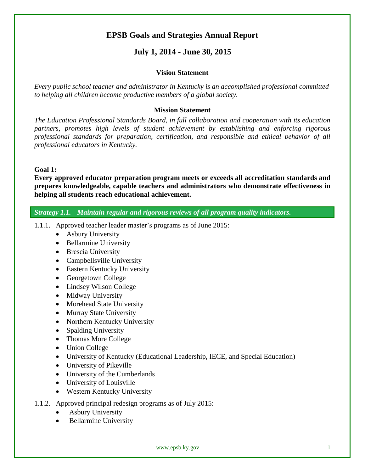# **EPSB Goals and Strategies Annual Report**

# **July 1, 2014 - June 30, 2015**

#### **Vision Statement**

*Every public school teacher and administrator in Kentucky is an accomplished professional committed to helping all children become productive members of a global society.*

#### **Mission Statement**

*The Education Professional Standards Board, in full collaboration and cooperation with its education partners, promotes high levels of student achievement by establishing and enforcing rigorous professional standards for preparation, certification, and responsible and ethical behavior of all professional educators in Kentucky.* 

# **Goal 1:**

**Every approved educator preparation program meets or exceeds all accreditation standards and prepares knowledgeable, capable teachers and administrators who demonstrate effectiveness in helping all students reach educational achievement.**

*Strategy 1.1. Maintain regular and rigorous reviews of all program quality indicators.*

- 1.1.1. Approved teacher leader master's programs as of June 2015:
	- Asbury University
	- Bellarmine University
	- Brescia University
	- Campbellsville University
	- Eastern Kentucky University
	- Georgetown College
	- Lindsey Wilson College
	- Midway University
	- Morehead State University
	- Murray State University
	- Northern Kentucky University
	- Spalding University
	- Thomas More College
	- Union College
	- University of Kentucky (Educational Leadership, IECE, and Special Education)
	- University of Pikeville
	- University of the Cumberlands
	- University of Louisville
	- Western Kentucky University
- 1.1.2. Approved principal redesign programs as of July 2015:
	- Asbury University
	- Bellarmine University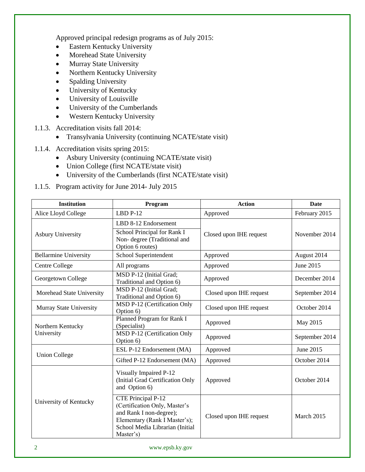Approved principal redesign programs as of July 2015:

- Eastern Kentucky University
- Morehead State University
- Murray State University
- Northern Kentucky University
- Spalding University
- University of Kentucky
- University of Louisville
- University of the Cumberlands
- Western Kentucky University
- 1.1.3. Accreditation visits fall 2014:
	- Transylvania University (continuing NCATE/state visit)
- 1.1.4. Accreditation visits spring 2015:
	- Asbury University (continuing NCATE/state visit)
	- Union College (first NCATE/state visit)
	- University of the Cumberlands (first NCATE/state visit)
- 1.1.5. Program activity for June 2014- July 2015

| <b>Institution</b>           | Program                                                                                                                                                         | <b>Action</b>           | <b>Date</b>    |
|------------------------------|-----------------------------------------------------------------------------------------------------------------------------------------------------------------|-------------------------|----------------|
| Alice Lloyd College          | $LBD$ P-12                                                                                                                                                      | Approved                | February 2015  |
| <b>Asbury University</b>     | LBD 8-12 Endorsement<br>School Principal for Rank I<br>Non-degree (Traditional and<br>Option 6 routes)                                                          | Closed upon IHE request | November 2014  |
| <b>Bellarmine University</b> | School Superintendent                                                                                                                                           | Approved                | August 2014    |
| <b>Centre College</b>        | All programs                                                                                                                                                    | Approved                | June 2015      |
| Georgetown College           | MSD P-12 (Initial Grad;<br>Traditional and Option 6)                                                                                                            | Approved                | December 2014  |
| Morehead State University    | MSD P-12 (Initial Grad;<br>Traditional and Option 6)                                                                                                            | Closed upon IHE request | September 2014 |
| Murray State University      | MSD P-12 (Certification Only<br>Option 6)                                                                                                                       | Closed upon IHE request | October 2014   |
| Northern Kentucky            | Planned Program for Rank I<br>(Specialist)                                                                                                                      | Approved                | May 2015       |
| University                   | MSD P-12 (Certification Only<br>Option 6)                                                                                                                       | Approved                | September 2014 |
|                              | ESL P-12 Endorsement (MA)                                                                                                                                       | Approved                | June 2015      |
| <b>Union College</b>         | Gifted P-12 Endorsement (MA)                                                                                                                                    | Approved                | October 2014   |
|                              | Visually Impaired P-12<br>(Initial Grad Certification Only<br>and Option 6)                                                                                     | Approved                | October 2014   |
| University of Kentucky       | CTE Principal P-12<br>(Certification Only, Master's<br>and Rank I non-degree);<br>Elementary (Rank I Master's);<br>School Media Librarian (Initial<br>Master's) | Closed upon IHE request | March 2015     |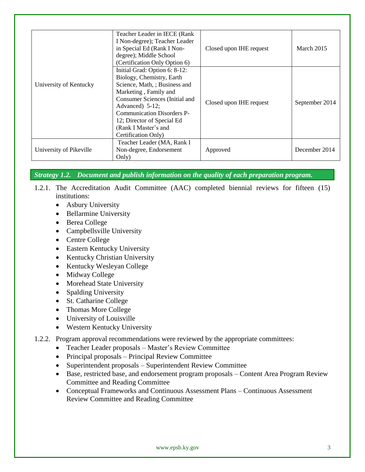|                         | Teacher Leader in IECE (Rank<br>I Non-degree); Teacher Leader<br>in Special Ed (Rank I Non-<br>degree); Middle School<br>(Certification Only Option 6)                                                                                                                               | Closed upon IHE request | March 2015     |
|-------------------------|--------------------------------------------------------------------------------------------------------------------------------------------------------------------------------------------------------------------------------------------------------------------------------------|-------------------------|----------------|
| University of Kentucky  | Initial Grad: Option 6: 8-12:<br>Biology, Chemistry, Earth<br>Science, Math, ; Business and<br>Marketing, Family and<br>Consumer Sciences (Initial and<br>Advanced) 5-12;<br>Communication Disorders P-<br>12; Director of Special Ed<br>(Rank I Master's and<br>Certification Only) | Closed upon IHE request | September 2014 |
| University of Pikeville | Teacher Leader (MA, Rank I<br>Non-degree, Endorsement<br>Only)                                                                                                                                                                                                                       | Approved                | December 2014  |

*Strategy 1.2. Document and publish information on the quality of each preparation program.*

- 1.2.1. The Accreditation Audit Committee (AAC) completed biennial reviews for fifteen (15) institutions:
	- Asbury University
	- Bellarmine University
	- Berea College
	- Campbellsville University
	- Centre College
	- Eastern Kentucky University
	- Kentucky Christian University
	- Kentucky Wesleyan College
	- Midway College
	- Morehead State University
	- Spalding University
	- St. Catharine College
	- Thomas More College
	- University of Louisville
	- Western Kentucky University
- 1.2.2. Program approval recommendations were reviewed by the appropriate committees:
	- Teacher Leader proposals Master's Review Committee
	- Principal proposals Principal Review Committee
	- Superintendent proposals Superintendent Review Committee
	- Base, restricted base, and endorsement program proposals Content Area Program Review Committee and Reading Committee
	- Conceptual Frameworks and Continuous Assessment Plans Continuous Assessment Review Committee and Reading Committee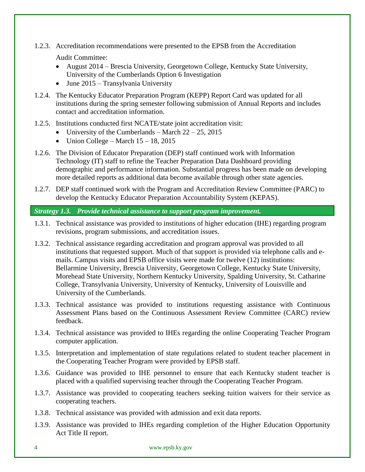1.2.3. Accreditation recommendations were presented to the EPSB from the Accreditation

Audit Committee:

- August 2014 Brescia University, Georgetown College, Kentucky State University, University of the Cumberlands Option 6 Investigation
- $\bullet$  June 2015 Transylvania University
- 1.2.4. The Kentucky Educator Preparation Program (KEPP) Report Card was updated for all institutions during the spring semester following submission of Annual Reports and includes contact and accreditation information.
- 1.2.5. Institutions conducted first NCATE/state joint accreditation visit:
	- University of the Cumberlands March  $22 25$ , 2015
	- Union College March  $15 18$ , 2015
- 1.2.6. The Division of Educator Preparation (DEP) staff continued work with Information Technology (IT) staff to refine the Teacher Preparation Data Dashboard providing demographic and performance information. Substantial progress has been made on developing more detailed reports as additional data become available through other state agencies.
- 1.2.7. DEP staff continued work with the Program and Accreditation Review Committee (PARC) to develop the Kentucky Educator Preparation Accountability System (KEPAS).

# *Strategy 1.3. Provide technical assistance to support program improvement.*

- 1.3.1. Technical assistance was provided to institutions of higher education (IHE) regarding program revisions, program submissions, and accreditation issues.
- 1.3.2. Technical assistance regarding accreditation and program approval was provided to all institutions that requested support. Much of that support is provided via telephone calls and emails. Campus visits and EPSB office visits were made for twelve (12) institutions: Bellarmine University, Brescia University, Georgetown College, Kentucky State University, Morehead State University, Northern Kentucky University, Spalding University, St. Catharine College, Transylvania University, University of Kentucky, University of Louisville and University of the Cumberlands.
- 1.3.3. Technical assistance was provided to institutions requesting assistance with Continuous Assessment Plans based on the Continuous Assessment Review Committee (CARC) review feedback.
- 1.3.4. Technical assistance was provided to IHEs regarding the online Cooperating Teacher Program computer application.
- 1.3.5. Interpretation and implementation of state regulations related to student teacher placement in the Cooperating Teacher Program were provided by EPSB staff.
- 1.3.6. Guidance was provided to IHE personnel to ensure that each Kentucky student teacher is placed with a qualified supervising teacher through the Cooperating Teacher Program.
- 1.3.7. Assistance was provided to cooperating teachers seeking tuition waivers for their service as cooperating teachers.
- 1.3.8. Technical assistance was provided with admission and exit data reports.
- 1.3.9. Assistance was provided to IHEs regarding completion of the Higher Education Opportunity Act Title II report.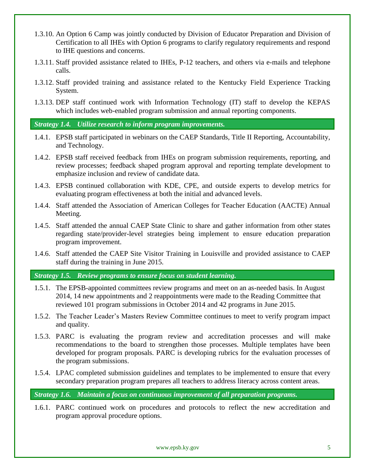- 1.3.10. An Option 6 Camp was jointly conducted by Division of Educator Preparation and Division of Certification to all IHEs with Option 6 programs to clarify regulatory requirements and respond to IHE questions and concerns.
- 1.3.11. Staff provided assistance related to IHEs, P-12 teachers, and others via e-mails and telephone calls.
- 1.3.12. Staff provided training and assistance related to the Kentucky Field Experience Tracking System.
- 1.3.13. DEP staff continued work with Information Technology (IT) staff to develop the KEPAS which includes web-enabled program submission and annual reporting components.

*Strategy 1.4. Utilize research to inform program improvements.*

- 1.4.1. EPSB staff participated in webinars on the CAEP Standards, Title II Reporting, Accountability, and Technology.
- 1.4.2. EPSB staff received feedback from IHEs on program submission requirements, reporting, and review processes; feedback shaped program approval and reporting template development to emphasize inclusion and review of candidate data.
- 1.4.3. EPSB continued collaboration with KDE, CPE, and outside experts to develop metrics for evaluating program effectiveness at both the initial and advanced levels.
- 1.4.4. Staff attended the Association of American Colleges for Teacher Education (AACTE) Annual Meeting.
- 1.4.5. Staff attended the annual CAEP State Clinic to share and gather information from other states regarding state/provider-level strategies being implement to ensure education preparation program improvement.
- 1.4.6. Staff attended the CAEP Site Visitor Training in Louisville and provided assistance to CAEP staff during the training in June 2015.

*Strategy 1.5. Review programs to ensure focus on student learning.*

- 1.5.1. The EPSB-appointed committees review programs and meet on an as-needed basis. In August 2014, 14 new appointments and 2 reappointments were made to the Reading Committee that reviewed 101 program submissions in October 2014 and 42 programs in June 2015.
- 1.5.2. The Teacher Leader's Masters Review Committee continues to meet to verify program impact and quality.
- 1.5.3. PARC is evaluating the program review and accreditation processes and will make recommendations to the board to strengthen those processes. Multiple templates have been developed for program proposals. PARC is developing rubrics for the evaluation processes of the program submissions.
- 1.5.4. LPAC completed submission guidelines and templates to be implemented to ensure that every secondary preparation program prepares all teachers to address literacy across content areas.

*Strategy 1.6. Maintain a focus on continuous improvement of all preparation programs.* 

1.6.1. PARC continued work on procedures and protocols to reflect the new accreditation and program approval procedure options.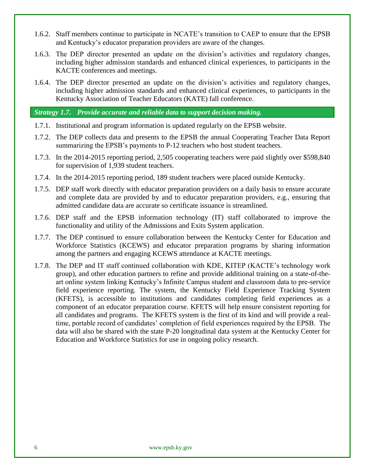- 1.6.2. Staff members continue to participate in NCATE's transition to CAEP to ensure that the EPSB and Kentucky's educator preparation providers are aware of the changes.
- 1.6.3. The DEP director presented an update on the division's activities and regulatory changes, including higher admission standards and enhanced clinical experiences, to participants in the KACTE conferences and meetings.
- 1.6.4. The DEP director presented an update on the division's activities and regulatory changes, including higher admission standards and enhanced clinical experiences, to participants in the Kentucky Association of Teacher Educators (KATE) fall conference.

## *Strategy 1.7. Provide accurate and reliable data to support decision making.*

- 1.7.1. Institutional and program information is updated regularly on the EPSB website.
- 1.7.2. The DEP collects data and presents to the EPSB the annual Cooperating Teacher Data Report summarizing the EPSB's payments to P-12 teachers who host student teachers.
- 1.7.3. In the 2014-2015 reporting period, 2,505 cooperating teachers were paid slightly over \$598,840 for supervision of 1,939 student teachers.
- 1.7.4. In the 2014-2015 reporting period, 189 student teachers were placed outside Kentucky.
- 1.7.5. DEP staff work directly with educator preparation providers on a daily basis to ensure accurate and complete data are provided by and to educator preparation providers, e.g., ensuring that admitted candidate data are accurate so certificate issuance is streamlined.
- 1.7.6. DEP staff and the EPSB information technology (IT) staff collaborated to improve the functionality and utility of the Admissions and Exits System application.
- 1.7.7. The DEP continued to ensure collaboration between the Kentucky Center for Education and Workforce Statistics (KCEWS) and educator preparation programs by sharing information among the partners and engaging KCEWS attendance at KACTE meetings.
- 1.7.8. The DEP and IT staff continued collaboration with KDE, KITEP (KACTE's technology work group), and other education partners to refine and provide additional training on a state-of-theart online system linking Kentucky's Infinite Campus student and classroom data to pre-service field experience reporting. The system, the Kentucky Field Experience Tracking System (KFETS), is accessible to institutions and candidates completing field experiences as a component of an educator preparation course. KFETS will help ensure consistent reporting for all candidates and programs. The KFETS system is the first of its kind and will provide a realtime, portable record of candidates' completion of field experiences required by the EPSB. The data will also be shared with the state P-20 longitudinal data system at the Kentucky Center for Education and Workforce Statistics for use in ongoing policy research.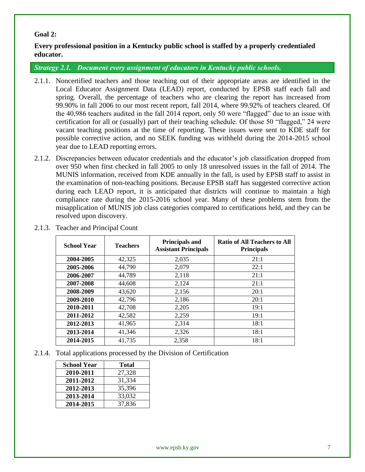# **Goal 2:**

**Every professional position in a Kentucky public school is staffed by a properly credentialed educator.**

*Strategy 2.1. Document every assignment of educators in Kentucky public schools.*

- 2.1.1. Noncertified teachers and those teaching out of their appropriate areas are identified in the Local Educator Assignment Data (LEAD) report, conducted by EPSB staff each fall and spring. Overall, the percentage of teachers who are clearing the report has increased from 99.90% in fall 2006 to our most recent report, fall 2014, where 99.92% of teachers cleared. Of the 40,986 teachers audited in the fall 2014 report, only 50 were "flagged" due to an issue with certification for all or (usually) part of their teaching schedule. Of those 50 "flagged," 24 were vacant teaching positions at the time of reporting. These issues were sent to KDE staff for possible corrective action, and no SEEK funding was withheld during the 2014-2015 school year due to LEAD reporting errors.
- 2.1.2. Discrepancies between educator credentials and the educator's job classification dropped from over 950 when first checked in fall 2005 to only 18 unresolved issues in the fall of 2014. The MUNIS information, received from KDE annually in the fall, is used by EPSB staff to assist in the examination of non-teaching positions. Because EPSB staff has suggested corrective action during each LEAD report, it is anticipated that districts will continue to maintain a high compliance rate during the 2015-2016 school year. Many of these problems stem from the misapplication of MUNIS job class categories compared to certifications held, and they can be resolved upon discovery.

| <b>School Year</b> | <b>Teachers</b> | <b>Principals and</b><br><b>Assistant Principals</b> | <b>Ratio of All Teachers to All</b><br><b>Principals</b> |
|--------------------|-----------------|------------------------------------------------------|----------------------------------------------------------|
| 2004-2005          | 42,325          | 2,035                                                | 21:1                                                     |
| 2005-2006          | 44,790          | 2.079                                                | 22:1                                                     |
| 2006-2007          | 44,789          | 2,118                                                | 21:1                                                     |
| 2007-2008          | 44,608          | 2,124                                                | 21:1                                                     |
| 2008-2009          | 43,620          | 2,156                                                | 20:1                                                     |
| 2009-2010          | 42.796          | 2,186                                                | 20:1                                                     |
| 2010-2011          | 42,708          | 2,205                                                | 19:1                                                     |
| 2011-2012          | 42,582          | 2,259                                                | 19:1                                                     |
| 2012-2013          | 41,965          | 2,314                                                | 18:1                                                     |
| 2013-2014          | 41,346          | 2,326                                                | 18:1                                                     |
| 2014-2015          | 41,735          | 2,358                                                | 18:1                                                     |

2.1.3. Teacher and Principal Count

2.1.4. Total applications processed by the Division of Certification

| <b>School Year</b> | <b>Total</b> |
|--------------------|--------------|
| 2010-2011          | 27,328       |
| 2011-2012          | 31,334       |
| 2012-2013          | 35,396       |
| 2013-2014          | 33,032       |
| 2014-2015          | 37,836       |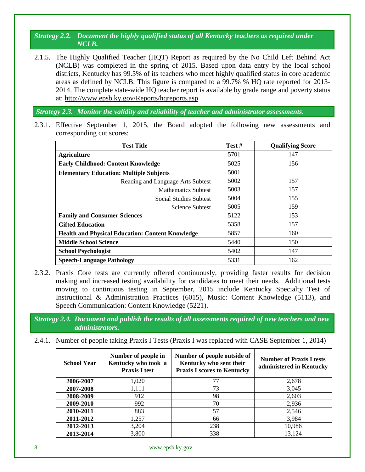*Strategy 2.2. Document the highly qualified status of all Kentucky teachers as required under NCLB.*

2.1.5. The Highly Qualified Teacher (HQT) Report as required by the No Child Left Behind Act (NCLB) was completed in the spring of 2015. Based upon data entry by the local school districts, Kentucky has 99.5% of its teachers who meet highly qualified status in core academic areas as defined by NCLB. This figure is compared to a 99.7% % HQ rate reported for 2013- 2014. The complete state-wide HQ teacher report is available by grade range and poverty status at:<http://www.epsb.ky.gov/Reports/hqreports.asp>

*Strategy 2.3. Monitor the validity and reliability of teacher and administrator assessments.*

2.3.1. Effective September 1, 2015, the Board adopted the following new assessments and corresponding cut scores:

| <b>Test Title</b>                                       | Test # | <b>Qualifying Score</b> |
|---------------------------------------------------------|--------|-------------------------|
| <b>Agriculture</b>                                      | 5701   | 147                     |
| <b>Early Childhood: Content Knowledge</b>               | 5025   | 156                     |
| <b>Elementary Education: Multiple Subjects</b>          | 5001   |                         |
| Reading and Language Arts Subtest                       | 5002   | 157                     |
| <b>Mathematics Subtest</b>                              | 5003   | 157                     |
| <b>Social Studies Subtest</b>                           | 5004   | 155                     |
| Science Subtest                                         | 5005   | 159                     |
| <b>Family and Consumer Sciences</b>                     | 5122   | 153                     |
| <b>Gifted Education</b>                                 | 5358   | 157                     |
| <b>Health and Physical Education: Content Knowledge</b> | 5857   | 160                     |
| <b>Middle School Science</b>                            | 5440   | 150                     |
| <b>School Psychologist</b>                              | 5402   | 147                     |
| <b>Speech-Language Pathology</b>                        | 5331   | 162                     |

2.3.2. Praxis Core tests are currently offered continuously, providing faster results for decision making and increased testing availability for candidates to meet their needs. Additional tests moving to continuous testing in September, 2015 include Kentucky Specialty Test of Instructional & Administration Practices (6015), Music: Content Knowledge (5113), and Speech Communication: Content Knowledge (5221).

*Strategy 2.4. Document and publish the results of all assessments required of new teachers and new administrators.*

2.4.1. Number of people taking Praxis I Tests (Praxis I was replaced with CASE September 1, 2014)

| <b>School Year</b> | Number of people in<br>Kentucky who took a<br><b>Praxis I test</b> | Number of people outside of<br>Kentucky who sent their<br><b>Praxis I scores to Kentucky</b> | <b>Number of Praxis I tests</b><br>administered in Kentucky |
|--------------------|--------------------------------------------------------------------|----------------------------------------------------------------------------------------------|-------------------------------------------------------------|
| 2006-2007          | 1,020                                                              | 77                                                                                           | 2,678                                                       |
| 2007-2008          | 1,111                                                              | 73                                                                                           | 3,045                                                       |
| 2008-2009          | 912                                                                | 98                                                                                           | 2,603                                                       |
| 2009-2010          | 992                                                                | 70                                                                                           | 2,936                                                       |
| 2010-2011          | 883                                                                | 57                                                                                           | 2,546                                                       |
| 2011-2012          | 1,257                                                              | 66                                                                                           | 3,984                                                       |
| 2012-2013          | 3,204                                                              | 238                                                                                          | 10,986                                                      |
| 2013-2014          | 3,800                                                              | 338                                                                                          | 13,124                                                      |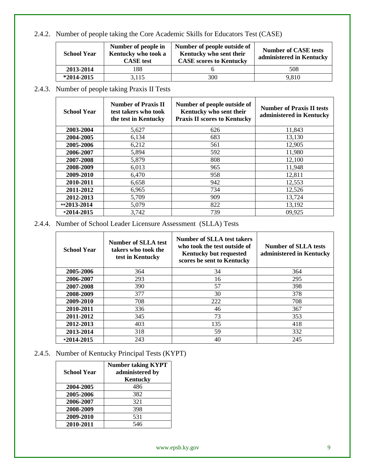# 2.4.2. Number of people taking the Core Academic Skills for Educators Test (CASE)

| <b>School Year</b> | Number of people in<br>Kentucky who took a<br><b>CASE</b> test | Number of people outside of<br>Kentucky who sent their<br><b>CASE</b> scores to Kentucky | <b>Number of CASE tests</b><br>administered in Kentucky |
|--------------------|----------------------------------------------------------------|------------------------------------------------------------------------------------------|---------------------------------------------------------|
| 2013-2014          | 188                                                            |                                                                                          | 508                                                     |
| $*2014 - 2015$     | 3.115                                                          | 300                                                                                      | 9.810                                                   |

# 2.4.3. Number of people taking Praxis II Tests

| <b>School Year</b> | <b>Number of Praxis II</b><br>test takers who took<br>the test in Kentucky | Number of people outside of<br>Kentucky who sent their<br><b>Praxis II scores to Kentucky</b> | <b>Number of Praxis II tests</b><br>administered in Kentucky |
|--------------------|----------------------------------------------------------------------------|-----------------------------------------------------------------------------------------------|--------------------------------------------------------------|
| 2003-2004          | 5,627                                                                      | 626                                                                                           | 11,843                                                       |
| 2004-2005          | 6,134                                                                      | 683                                                                                           | 13,130                                                       |
| 2005-2006          | 6,212                                                                      | 561                                                                                           | 12,905                                                       |
| 2006-2007          | 5,894                                                                      | 592                                                                                           | 11,980                                                       |
| 2007-2008          | 5,879                                                                      | 808                                                                                           | 12,100                                                       |
| 2008-2009          | 6,013                                                                      | 965                                                                                           | 11,948                                                       |
| 2009-2010          | 6,470                                                                      | 958                                                                                           | 12,811                                                       |
| 2010-2011          | 6,658                                                                      | 942                                                                                           | 12,553                                                       |
| 2011-2012          | 6,965                                                                      | 734                                                                                           | 12,526                                                       |
| 2012-2013          | 5,709                                                                      | 909                                                                                           | 13,724                                                       |
| $*2013-2014$       | 5,079                                                                      | 822                                                                                           | 13,192                                                       |
| $*2014 - 2015$     | 3,742                                                                      | 739                                                                                           | 09,925                                                       |

2.4.4. Number of School Leader Licensure Assessment (SLLA) Tests

| <b>School Year</b> | <b>Number of SLLA test</b><br>takers who took the<br>test in Kentucky | Number of SLLA test takers<br>who took the test outside of<br><b>Kentucky but requested</b><br>scores be sent to Kentucky | <b>Number of SLLA tests</b><br>administered in Kentucky |
|--------------------|-----------------------------------------------------------------------|---------------------------------------------------------------------------------------------------------------------------|---------------------------------------------------------|
| 2005-2006          | 364                                                                   | 34                                                                                                                        | 364                                                     |
| 2006-2007          | 293                                                                   | 16                                                                                                                        | 295                                                     |
| 2007-2008          | 390                                                                   | 57                                                                                                                        | 398                                                     |
| 2008-2009          | 377                                                                   | 30                                                                                                                        | 378                                                     |
| 2009-2010          | 708                                                                   | 222                                                                                                                       | 708                                                     |
| 2010-2011          | 336                                                                   | 46                                                                                                                        | 367                                                     |
| 2011-2012          | 345                                                                   | 73                                                                                                                        | 353                                                     |
| 2012-2013          | 403                                                                   | 135                                                                                                                       | 418                                                     |
| 2013-2014          | 318                                                                   | 59                                                                                                                        | 332                                                     |
| $*2014 - 2015$     | 243                                                                   | 40                                                                                                                        | 245                                                     |

2.4.5. Number of Kentucky Principal Tests (KYPT)

| <b>School Year</b> | <b>Number taking KYPT</b><br>administered by<br>Kentucky |
|--------------------|----------------------------------------------------------|
| 2004-2005          | 486                                                      |
| 2005-2006          | 382                                                      |
| 2006-2007          | 321                                                      |
| 2008-2009          | 398                                                      |
| 2009-2010          | 531                                                      |
| 2010-2011          | 546                                                      |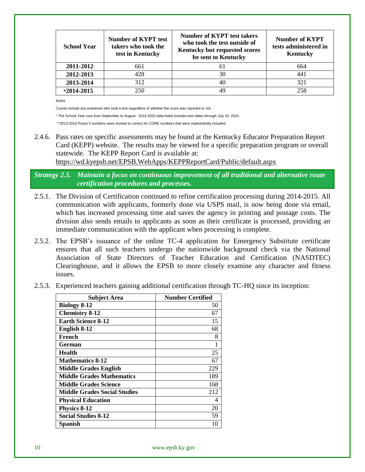| <b>School Year</b> | <b>Number of KYPT test</b><br>takers who took the<br>test in Kentucky | Number of KYPT test takers<br>who took the test outside of<br>Kentucky but requested scores<br>be sent to Kentucky | <b>Number of KYPT</b><br>tests administered in<br>Kentucky |
|--------------------|-----------------------------------------------------------------------|--------------------------------------------------------------------------------------------------------------------|------------------------------------------------------------|
| 2011-2012          | 661                                                                   | 6 I                                                                                                                | 664                                                        |
| 2012-2013          | 428                                                                   | 30                                                                                                                 | 441                                                        |
| 2013-2014          | 312                                                                   | 40                                                                                                                 | 321                                                        |
| $*2014 - 2015$     | 250                                                                   | 49                                                                                                                 | 258                                                        |

*Notes:* 

Counts include any examinee who took a test regardless of whether the score was reported or not.

\* The School Year runs from September to August. 2014-2015 data listed includes test dates through July 20, 2015.

\*\*2013-2014 Praxis II numbers were revised to correct for CORE numbers that were inadvertently included.

2.4.6. Pass rates on specific assessments may be found at the Kentucky Educator Preparation Report Card (KEPP) website. The results may be viewed for a specific preparation program or overall statewide. The KEPP Report Card is available at:

https://wd.kyepsb.net/EPSB.WebApps/KEPPReportCard/Public/default.aspx

*Strategy 2.5. Maintain a focus on continuous improvement of all traditional and alternative route certification procedures and processes.*

- 2.5.1. The Division of Certification continued to refine certification processing during 2014-2015. All communication with applicants, formerly done via USPS mail, is now being done via email, which has increased processing time and saves the agency in printing and postage costs. The division also sends emails to applicants as soon as their certificate is processed, providing an immediate communication with the applicant when processing is complete.
- 2.5.2. The EPSB's issuance of the online TC-4 application for Emergency Substitute certificate ensures that all such teachers undergo the nationwide background check via the National Association of State Directors of Teacher Education and Certification (NASDTEC) Clearinghouse, and it allows the EPSB to more closely examine any character and fitness issues.
- 2.5.3. Experienced teachers gaining additional certification through TC-HQ since its inception:

| <b>Subject Area</b>                 | <b>Number Certified</b> |
|-------------------------------------|-------------------------|
| <b>Biology 8-12</b>                 | 50                      |
| <b>Chemistry 8-12</b>               | 67                      |
| <b>Earth Science 8-12</b>           | 15                      |
| English 8-12                        | 68                      |
| French                              | 8                       |
| German                              | 1                       |
| <b>Health</b>                       | 25                      |
| <b>Mathematics 8-12</b>             | 67                      |
| <b>Middle Grades English</b>        | 229                     |
| <b>Middle Grades Mathematics</b>    | 189                     |
| <b>Middle Grades Science</b>        | 168                     |
| <b>Middle Grades Social Studies</b> | 212                     |
| <b>Physical Education</b>           | 4                       |
| Physics 8-12                        | 20                      |
| <b>Social Studies 8-12</b>          | 59                      |
| <b>Spanish</b>                      | 10                      |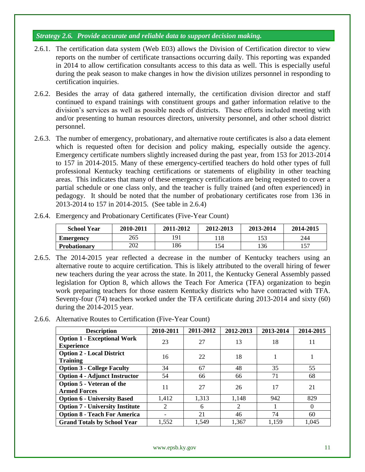# *Strategy 2.6. Provide accurate and reliable data to support decision making.*

- 2.6.1. The certification data system (Web E03) allows the Division of Certification director to view reports on the number of certificate transactions occurring daily. This reporting was expanded in 2014 to allow certification consultants access to this data as well. This is especially useful during the peak season to make changes in how the division utilizes personnel in responding to certification inquiries.
- 2.6.2. Besides the array of data gathered internally, the certification division director and staff continued to expand trainings with constituent groups and gather information relative to the division's services as well as possible needs of districts. These efforts included meeting with and/or presenting to human resources directors, university personnel, and other school district personnel.
- 2.6.3. The number of emergency, probationary, and alternative route certificates is also a data element which is requested often for decision and policy making, especially outside the agency. Emergency certificate numbers slightly increased during the past year, from 153 for 2013-2014 to 157 in 2014-2015. Many of these emergency-certified teachers do hold other types of full professional Kentucky teaching certifications or statements of eligibility in other teaching areas. This indicates that many of these emergency certifications are being requested to cover a partial schedule or one class only, and the teacher is fully trained (and often experienced) in pedagogy. It should be noted that the number of probationary certificates rose from 136 in 2013-2014 to 157 in 2014-2015. (See table in 2.6.4)
- 2.6.4. Emergency and Probationary Certificates (Five-Year Count)

| <b>School Year</b>  | 2010-2011 | 2011-2012      | 2012-2013 | 2013-2014 | 2014-2015 |
|---------------------|-----------|----------------|-----------|-----------|-----------|
| <b>Emergency</b>    | 265       | Q <sub>1</sub> |           |           | 244       |
| <b>Probationary</b> | 202       | .86            | ' 54      | 136       | 157       |

- 2.6.5. The 2014-2015 year reflected a decrease in the number of Kentucky teachers using an alternative route to acquire certification. This is likely attributed to the overall hiring of fewer new teachers during the year across the state. In 2011, the Kentucky General Assembly passed legislation for Option 8, which allows the Teach For America (TFA) organization to begin work preparing teachers for those eastern Kentucky districts who have contracted with TFA. Seventy-four (74) teachers worked under the TFA certificate during 2013-2014 and sixty (60) during the 2014-2015 year.
- 2.6.6. Alternative Routes to Certification (Five-Year Count)

| <b>Description</b>                                      | 2010-2011 | 2011-2012 | 2012-2013 | 2013-2014 | 2014-2015 |
|---------------------------------------------------------|-----------|-----------|-----------|-----------|-----------|
| <b>Option 1 - Exceptional Work</b>                      | 23        | 27        | 13        | 18        | 11        |
| <b>Experience</b><br><b>Option 2 - Local District</b>   |           |           |           |           |           |
| <b>Training</b>                                         | 16        | 22        | 18        |           |           |
| <b>Option 3 - College Faculty</b>                       | 34        | 67        | 48        | 35        | 55        |
| <b>Option 4 - Adjunct Instructor</b>                    | 54        | 66        | 66        | 71        | 68        |
| <b>Option 5 - Veteran of the</b><br><b>Armed Forces</b> | 11        | 27        | 26        | 17        | 21        |
| <b>Option 6 - University Based</b>                      | 1,412     | 1,313     | 1,148     | 942       | 829       |
| <b>Option 7 - University Institute</b>                  | 2         | 6         | 2         |           | $\Omega$  |
| <b>Option 8 - Teach For America</b>                     |           | 21        | 46        | 74        | 60        |
| <b>Grand Totals by School Year</b>                      | 1,552     | 1,549     | 1,367     | 1,159     | 1,045     |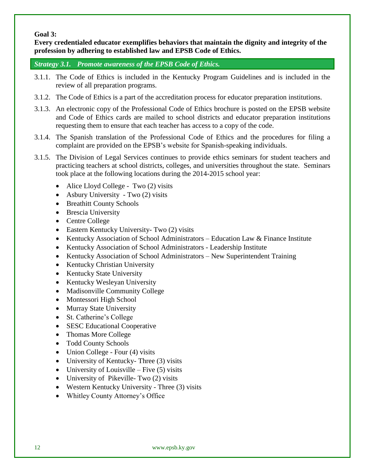# **Goal 3:**

**Every credentialed educator exemplifies behaviors that maintain the dignity and integrity of the profession by adhering to established law and EPSB Code of Ethics.**

*Strategy 3.1. Promote awareness of the EPSB Code of Ethics.*

- 3.1.1. The Code of Ethics is included in the Kentucky Program Guidelines and is included in the review of all preparation programs.
- 3.1.2. The Code of Ethics is a part of the accreditation process for educator preparation institutions.
- 3.1.3. An electronic copy of the Professional Code of Ethics brochure is posted on the EPSB website and Code of Ethics cards are mailed to school districts and educator preparation institutions requesting them to ensure that each teacher has access to a copy of the code.
- 3.1.4. The Spanish translation of the Professional Code of Ethics and the procedures for filing a complaint are provided on the EPSB's website for Spanish-speaking individuals.
- 3.1.5. The Division of Legal Services continues to provide ethics seminars for student teachers and practicing teachers at school districts, colleges, and universities throughout the state. Seminars took place at the following locations during the 2014-2015 school year:
	- Alice Lloyd College Two (2) visits
	- Asbury University Two  $(2)$  visits
	- Breathitt County Schools
	- Brescia University
	- Centre College
	- Eastern Kentucky University- Two (2) visits
	- Kentucky Association of School Administrators Education Law & Finance Institute
	- Kentucky Association of School Administrators Leadership Institute
	- Kentucky Association of School Administrators New Superintendent Training
	- Kentucky Christian University
	- Kentucky State University
	- Kentucky Wesleyan University
	- Madisonville Community College
	- Montessori High School
	- Murray State University
	- St. Catherine's College
	- SESC Educational Cooperative
	- Thomas More College
	- Todd County Schools
	- $\bullet$  Union College Four (4) visits
	- University of Kentucky- Three (3) visits
	- University of Louisville Five  $(5)$  visits
	- University of Pikeville- Two (2) visits
	- Western Kentucky University Three (3) visits
	- Whitley County Attorney's Office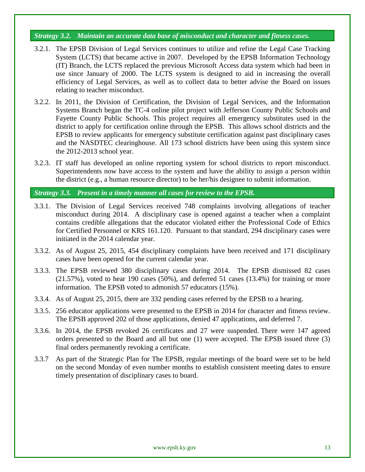## *Strategy 3.2. Maintain an accurate data base of misconduct and character and fitness cases.*

- 3.2.1. The EPSB Division of Legal Services continues to utilize and refine the Legal Case Tracking System (LCTS) that became active in 2007. Developed by the EPSB Information Technology (IT) Branch, the LCTS replaced the previous Microsoft Access data system which had been in use since January of 2000. The LCTS system is designed to aid in increasing the overall efficiency of Legal Services, as well as to collect data to better advise the Board on issues relating to teacher misconduct.
- 3.2.2. In 2011, the Division of Certification, the Division of Legal Services, and the Information Systems Branch began the TC-4 online pilot project with Jefferson County Public Schools and Fayette County Public Schools. This project requires all emergency substitutes used in the district to apply for certification online through the EPSB. This allows school districts and the EPSB to review applicants for emergency substitute certification against past disciplinary cases and the NASDTEC clearinghouse. All 173 school districts have been using this system since the 2012-2013 school year.
- 3.2.3. IT staff has developed an online reporting system for school districts to report misconduct. Superintendents now have access to the system and have the ability to assign a person within the district (e.g., a human resource director) to be her/his designee to submit information.

### *Strategy 3.3. Present in a timely manner all cases for review to the EPSB.*

- 3.3.1. The Division of Legal Services received 748 complaints involving allegations of teacher misconduct during 2014. A disciplinary case is opened against a teacher when a complaint contains credible allegations that the educator violated either the Professional Code of Ethics for Certified Personnel or KRS 161.120. Pursuant to that standard, 294 disciplinary cases were initiated in the 2014 calendar year.
- 3.3.2. As of August 25, 2015, 454 disciplinary complaints have been received and 171 disciplinary cases have been opened for the current calendar year.
- 3.3.3. The EPSB reviewed 380 disciplinary cases during 2014. The EPSB dismissed 82 cases  $(21.57\%)$ , voted to hear 190 cases (50%), and deferred 51 cases (13.4%) for training or more information. The EPSB voted to admonish 57 educators (15%).
- 3.3.4. As of August 25, 2015, there are 332 pending cases referred by the EPSB to a hearing.
- 3.3.5. 256 educator applications were presented to the EPSB in 2014 for character and fitness review. The EPSB approved 202 of those applications, denied 47 applications, and deferred 7.
- 3.3.6. In 2014, the EPSB revoked 26 certificates and 27 were suspended. There were 147 agreed orders presented to the Board and all but one (1) were accepted. The EPSB issued three (3) final orders permanently revoking a certificate.
- 3.3.7 As part of the Strategic Plan for The EPSB, regular meetings of the board were set to be held on the second Monday of even number months to establish consistent meeting dates to ensure timely presentation of disciplinary cases to board.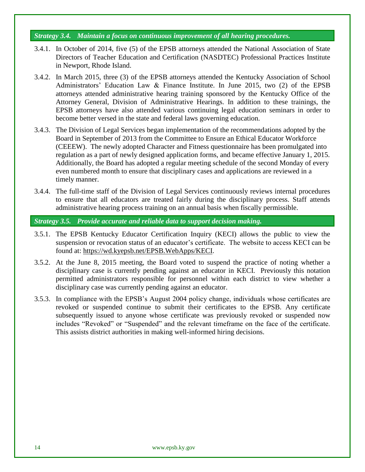#### *Strategy 3.4. Maintain a focus on continuous improvement of all hearing procedures.*

- 3.4.1. In October of 2014, five (5) of the EPSB attorneys attended the National Association of State Directors of Teacher Education and Certification (NASDTEC) Professional Practices Institute in Newport, Rhode Island.
- 3.4.2. In March 2015, three (3) of the EPSB attorneys attended the Kentucky Association of School Administrators' Education Law & Finance Institute. In June 2015, two (2) of the EPSB attorneys attended administrative hearing training sponsored by the Kentucky Office of the Attorney General, Division of Administrative Hearings. In addition to these trainings, the EPSB attorneys have also attended various continuing legal education seminars in order to become better versed in the state and federal laws governing education.
- 3.4.3. The Division of Legal Services began implementation of the recommendations adopted by the Board in September of 2013 from the Committee to Ensure an Ethical Educator Workforce (CEEEW). The newly adopted Character and Fitness questionnaire has been promulgated into regulation as a part of newly designed application forms, and became effective January 1, 2015. Additionally, the Board has adopted a regular meeting schedule of the second Monday of every even numbered month to ensure that disciplinary cases and applications are reviewed in a timely manner.
- 3.4.4. The full-time staff of the Division of Legal Services continuously reviews internal procedures to ensure that all educators are treated fairly during the disciplinary process. Staff attends administrative hearing process training on an annual basis when fiscally permissible.

*Strategy 3.5. Provide accurate and reliable data to support decision making.*

- 3.5.1. The EPSB Kentucky Educator Certification Inquiry (KECI) allows the public to view the suspension or revocation status of an educator's certificate. The website to access KECI can be found at: [https://wd.kyepsb.net/EPSB.WebApps/KECI.](https://wd.kyepsb.net/EPSB.WebApps/KECI)
- 3.5.2. At the June 8, 2015 meeting, the Board voted to suspend the practice of noting whether a disciplinary case is currently pending against an educator in KECI. Previously this notation permitted administrators responsible for personnel within each district to view whether a disciplinary case was currently pending against an educator.
- 3.5.3. In compliance with the EPSB's August 2004 policy change, individuals whose certificates are revoked or suspended continue to submit their certificates to the EPSB. Any certificate subsequently issued to anyone whose certificate was previously revoked or suspended now includes "Revoked" or "Suspended" and the relevant timeframe on the face of the certificate. This assists district authorities in making well-informed hiring decisions.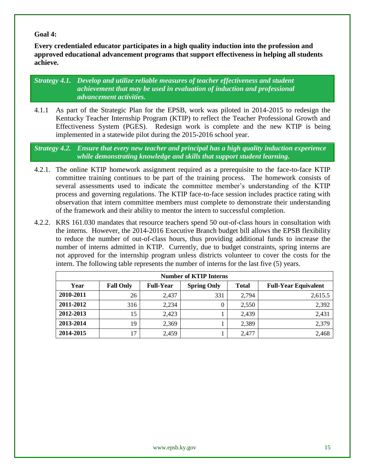## **Goal 4:**

**Every credentialed educator participates in a high quality induction into the profession and approved educational advancement programs that support effectiveness in helping all students achieve.**

*Strategy 4.1. Develop and utilize reliable measures of teacher effectiveness and student achievement that may be used in evaluation of induction and professional advancement activities.*

4.1.1 As part of the Strategic Plan for the EPSB, work was piloted in 2014-2015 to redesign the Kentucky Teacher Internship Program (KTIP) to reflect the Teacher Professional Growth and Effectiveness System (PGES). Redesign work is complete and the new KTIP is being implemented in a statewide pilot during the 2015-2016 school year.

*Strategy 4.2. Ensure that every new teacher and principal has a high quality induction experience while demonstrating knowledge and skills that support student learning.*

- 4.2.1. The online KTIP homework assignment required as a prerequisite to the face-to-face KTIP committee training continues to be part of the training process. The homework consists of several assessments used to indicate the committee member's understanding of the KTIP process and governing regulations. The KTIP face-to-face session includes practice rating with observation that intern committee members must complete to demonstrate their understanding of the framework and their ability to mentor the intern to successful completion.
- 4.2.2. KRS 161.030 mandates that resource teachers spend 50 out-of-class hours in consultation with the interns. However, the 2014-2016 Executive Branch budget bill allows the EPSB flexibility to reduce the number of out-of-class hours, thus providing additional funds to increase the number of interns admitted in KTIP. Currently, due to budget constraints, spring interns are not approved for the internship program unless districts volunteer to cover the costs for the intern. The following table represents the number of interns for the last five (5) years.

| <b>Number of KTIP Interns</b> |                  |                  |                    |              |                             |
|-------------------------------|------------------|------------------|--------------------|--------------|-----------------------------|
| Year                          | <b>Fall Only</b> | <b>Full-Year</b> | <b>Spring Only</b> | <b>Total</b> | <b>Full-Year Equivalent</b> |
| 2010-2011                     | 26               | 2,437            | 331                | 2,794        | 2,615.5                     |
| 2011-2012                     | 316              | 2,234            |                    | 2,550        | 2,392                       |
| 2012-2013                     | 15               | 2,423            |                    | 2,439        | 2,431                       |
| 2013-2014                     | 19               | 2,369            |                    | 2,389        | 2,379                       |
| 2014-2015                     |                  | 2,459            |                    | 2,477        | 2,468                       |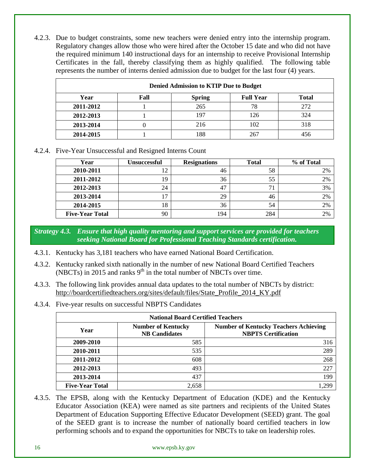4.2.3. Due to budget constraints, some new teachers were denied entry into the internship program. Regulatory changes allow those who were hired after the October 15 date and who did not have the required minimum 140 instructional days for an internship to receive Provisional Internship Certificates in the fall, thereby classifying them as highly qualified. The following table represents the number of interns denied admission due to budget for the last four (4) years.

| <b>Denied Admission to KTIP Due to Budget</b> |      |               |                  |              |
|-----------------------------------------------|------|---------------|------------------|--------------|
| Year                                          | Fall | <b>Spring</b> | <b>Full Year</b> | <b>Total</b> |
| 2011-2012                                     |      | 265           | 78               | 272          |
| 2012-2013                                     |      | 197           | 126              | 324          |
| 2013-2014                                     |      | 216           | 102              | 318          |
| 2014-2015                                     |      | 188           | 267              |              |

4.2.4. Five-Year Unsuccessful and Resigned Interns Count

| Year                   | <b>Unsuccessful</b> | <b>Resignations</b> | <b>Total</b> | % of Total |
|------------------------|---------------------|---------------------|--------------|------------|
| 2010-2011              | 1 ^<br>⊥ ∠          | 46                  | 58           | 2%         |
| 2011-2012              | 19                  | 36                  | 55           | 2%         |
| 2012-2013              | 24                  | 47                  |              | 3%         |
| 2013-2014              | 17                  | 29                  | 46           | 2%         |
| 2014-2015              | 18                  | 36                  | 54           | 2%         |
| <b>Five-Year Total</b> | 90                  | 194                 | 284          | 2%         |

*Strategy 4.3. Ensure that high quality mentoring and support services are provided for teachers seeking National Board for Professional Teaching Standards certification.*

- 4.3.1. Kentucky has 3,181 teachers who have earned National Board Certification.
- 4.3.2. Kentucky ranked sixth nationally in the number of new National Board Certified Teachers (NBCTs) in 2015 and ranks  $9<sup>th</sup>$  in the total number of NBCTs over time.
- 4.3.3. The following link provides annual data updates to the total number of NBCTs by district: [http://boardcertifiedteachers.org/sites/default/files/State\\_Profile\\_2014\\_KY.pdf](http://boardcertifiedteachers.org/sites/default/files/State_Profile_2014_KY.pdf)
- 4.3.4. Five-year results on successful NBPTS Candidates

| <b>National Board Certified Teachers</b> |                                                   |                                                                            |  |  |
|------------------------------------------|---------------------------------------------------|----------------------------------------------------------------------------|--|--|
| Year                                     | <b>Number of Kentucky</b><br><b>NB</b> Candidates | <b>Number of Kentucky Teachers Achieving</b><br><b>NBPTS Certification</b> |  |  |
| 2009-2010                                | 585                                               | 316                                                                        |  |  |
| 2010-2011                                | 535                                               | 289                                                                        |  |  |
| 2011-2012                                | 608                                               | 268                                                                        |  |  |
| 2012-2013                                | 493                                               | 227                                                                        |  |  |
| 2013-2014                                | 437                                               | 199                                                                        |  |  |
| <b>Five-Year Total</b>                   | 2,658                                             | 290                                                                        |  |  |

4.3.5. The EPSB, along with the Kentucky Department of Education (KDE) and the Kentucky Educator Association (KEA) were named as site partners and recipients of the United States Department of Education Supporting Effective Educator Development (SEED) grant. The goal of the SEED grant is to increase the number of nationally board certified teachers in low performing schools and to expand the opportunities for NBCTs to take on leadership roles.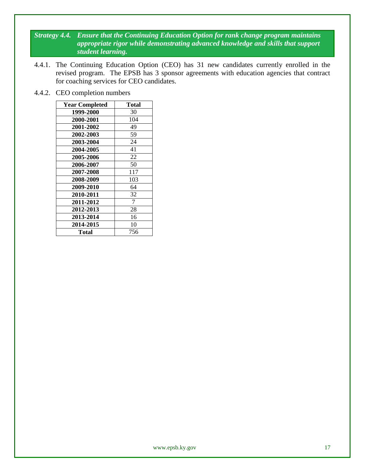*Strategy 4.4. Ensure that the Continuing Education Option for rank change program maintains appropriate rigor while demonstrating advanced knowledge and skills that support student learning.*

- 4.4.1. The Continuing Education Option (CEO) has 31 new candidates currently enrolled in the revised program. The EPSB has 3 sponsor agreements with education agencies that contract for coaching services for CEO candidates.
- 4.4.2. CEO completion numbers

| <b>Year Completed</b> | <b>Total</b> |
|-----------------------|--------------|
| 1999-2000             | 30           |
| 2000-2001             | 104          |
| 2001-2002             | 49           |
| 2002-2003             | 59           |
| 2003-2004             | 24           |
| 2004-2005             | 41           |
| 2005-2006             | 22           |
| 2006-2007             | 50           |
| 2007-2008             | 117          |
| 2008-2009             | 103          |
| 2009-2010             | 64           |
| 2010-2011             | 32           |
| 2011-2012             | 7            |
| 2012-2013             | 28           |
| 2013-2014             | 16           |
| 2014-2015             | 10           |
| Total                 | 756          |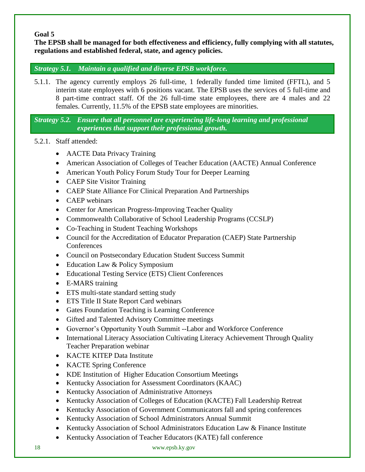# **Goal 5**

**The EPSB shall be managed for both effectiveness and efficiency, fully complying with all statutes, regulations and established federal, state, and agency policies.** 

# *Strategy 5.1. Maintain a qualified and diverse EPSB workforce.*

5.1.1. The agency currently employs 26 full-time, 1 federally funded time limited (FFTL), and 5 interim state employees with 6 positions vacant. The EPSB uses the services of 5 full-time and 8 part-time contract staff. Of the 26 full-time state employees, there are 4 males and 22 females. Currently, 11.5% of the EPSB state employees are minorities.

*Strategy 5.2. Ensure that all personnel are experiencing life-long learning and professional experiences that support their professional growth.* 

- 5.2.1. Staff attended:
	- AACTE Data Privacy Training
	- American Association of Colleges of Teacher Education (AACTE) Annual Conference
	- American Youth Policy Forum Study Tour for Deeper Learning
	- CAEP Site Visitor Training
	- CAEP State Alliance For Clinical Preparation And Partnerships
	- CAEP webinars
	- Center for American Progress-Improving Teacher Quality
	- Commonwealth Collaborative of School Leadership Programs (CCSLP)
	- Co-Teaching in Student Teaching Workshops
	- Council for the Accreditation of Educator Preparation (CAEP) State Partnership **Conferences**
	- Council on Postsecondary Education Student Success Summit
	- Education Law & Policy Symposium
	- Educational Testing Service (ETS) Client Conferences
	- E-MARS training
	- ETS multi-state standard setting study
	- ETS Title II State Report Card webinars
	- Gates Foundation Teaching is Learning Conference
	- Gifted and Talented Advisory Committee meetings
	- Governor's Opportunity Youth Summit --Labor and Workforce Conference
	- International Literacy Association Cultivating Literacy Achievement Through Quality Teacher Preparation webinar
	- KACTE KITEP Data Institute
	- KACTE Spring Conference
	- KDE Institution of Higher Education Consortium Meetings
	- Kentucky Association for Assessment Coordinators (KAAC)
	- Kentucky Association of Administrative Attorneys
	- Kentucky Association of Colleges of Education (KACTE) Fall Leadership Retreat
	- Kentucky Association of Government Communicators fall and spring conferences
	- Kentucky Association of School Administrators Annual Summit
	- Kentucky Association of School Administrators Education Law & Finance Institute
	- Kentucky Association of Teacher Educators (KATE) fall conference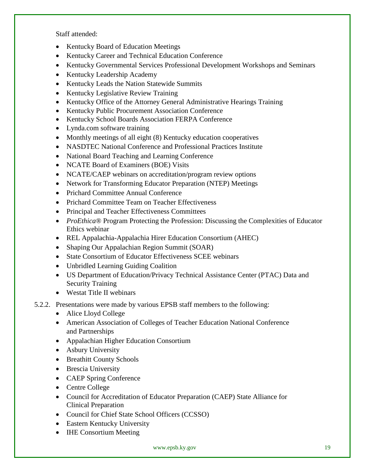Staff attended:

- Kentucky Board of Education Meetings
- Kentucky Career and Technical Education Conference
- Kentucky Governmental Services Professional Development Workshops and Seminars
- Kentucky Leadership Academy
- Kentucky Leads the Nation Statewide Summits
- Kentucky Legislative Review Training
- Kentucky Office of the Attorney General Administrative Hearings Training
- Kentucky Public Procurement Association Conference
- Kentucky School Boards Association FERPA Conference
- Lynda.com software training
- Monthly meetings of all eight (8) Kentucky education cooperatives
- NASDTEC National Conference and Professional Practices Institute
- National Board Teaching and Learning Conference
- NCATE Board of Examiners (BOE) Visits
- NCATE/CAEP webinars on accreditation/program review options
- Network for Transforming Educator Preparation (NTEP) Meetings
- Prichard Committee Annual Conference
- Prichard Committee Team on Teacher Effectiveness
- Principal and Teacher Effectiveness Committees
- *ProEthica*<sup>®</sup> Program Protecting the Profession: Discussing the Complexities of Educator Ethics webinar
- REL Appalachia-Appalachia Hirer Education Consortium (AHEC)
- Shaping Our Appalachian Region Summit (SOAR)
- State Consortium of Educator Effectiveness SCEE webinars
- Unbridled Learning Guiding Coalition
- US Department of Education/Privacy Technical Assistance Center (PTAC) Data and Security Training
- Westat Title II webinars
- 5.2.2. Presentations were made by various EPSB staff members to the following:
	- Alice Lloyd College
	- American Association of Colleges of Teacher Education National Conference and Partnerships
	- Appalachian Higher Education Consortium
	- Asbury University
	- Breathitt County Schools
	- Brescia University
	- CAEP Spring Conference
	- Centre College
	- Council for Accreditation of Educator Preparation (CAEP) State Alliance for Clinical Preparation
	- Council for Chief State School Officers (CCSSO)
	- Eastern Kentucky University
	- IHE Consortium Meeting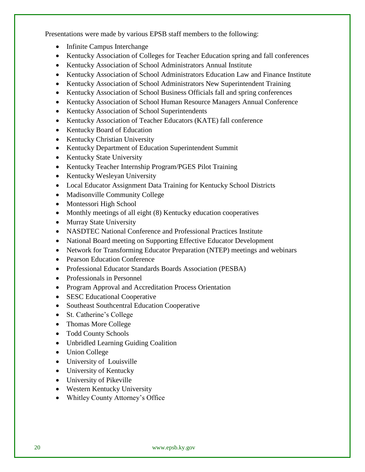Presentations were made by various EPSB staff members to the following:

- Infinite Campus Interchange
- Kentucky Association of Colleges for Teacher Education spring and fall conferences
- Kentucky Association of School Administrators Annual Institute
- Kentucky Association of School Administrators Education Law and Finance Institute
- Kentucky Association of School Administrators New Superintendent Training
- Kentucky Association of School Business Officials fall and spring conferences
- Kentucky Association of School Human Resource Managers Annual Conference
- Kentucky Association of School Superintendents
- Kentucky Association of Teacher Educators (KATE) fall conference
- Kentucky Board of Education
- Kentucky Christian University
- Kentucky Department of Education Superintendent Summit
- Kentucky State University
- Kentucky Teacher Internship Program/PGES Pilot Training
- Kentucky Wesleyan University
- Local Educator Assignment Data Training for Kentucky School Districts
- Madisonville Community College
- Montessori High School
- Monthly meetings of all eight (8) Kentucky education cooperatives
- Murray State University
- NASDTEC National Conference and Professional Practices Institute
- National Board meeting on Supporting Effective Educator Development
- Network for Transforming Educator Preparation (NTEP) meetings and webinars
- Pearson Education Conference
- Professional Educator Standards Boards Association (PESBA)
- Professionals in Personnel
- Program Approval and Accreditation Process Orientation
- SESC Educational Cooperative
- Southeast Southcentral Education Cooperative
- St. Catherine's College
- Thomas More College
- Todd County Schools
- Unbridled Learning Guiding Coalition
- Union College
- University of Louisville
- University of Kentucky
- University of Pikeville
- Western Kentucky University
- Whitley County Attorney's Office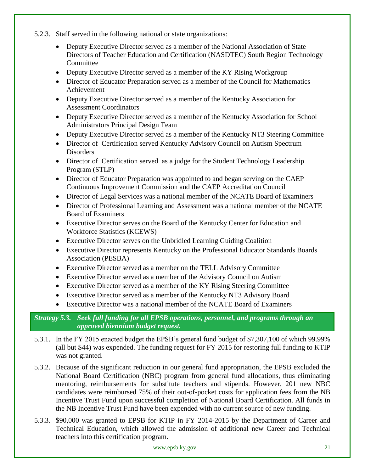- 5.2.3. Staff served in the following national or state organizations:
	- Deputy Executive Director served as a member of the National Association of State Directors of Teacher Education and Certification (NASDTEC) South Region Technology Committee
	- Deputy Executive Director served as a member of the KY Rising Workgroup
	- Director of Educator Preparation served as a member of the Council for Mathematics Achievement
	- Deputy Executive Director served as a member of the Kentucky Association for Assessment Coordinators
	- Deputy Executive Director served as a member of the Kentucky Association for School Administrators Principal Design Team
	- Deputy Executive Director served as a member of the Kentucky NT3 Steering Committee
	- Director of Certification served Kentucky Advisory Council on Autism Spectrum Disorders
	- Director of Certification served as a judge for the Student Technology Leadership Program (STLP)
	- Director of Educator Preparation was appointed to and began serving on the CAEP Continuous Improvement Commission and the CAEP Accreditation Council
	- Director of Legal Services was a national member of the NCATE Board of Examiners
	- Director of Professional Learning and Assessment was a national member of the NCATE Board of Examiners
	- Executive Director serves on the Board of the Kentucky Center for Education and Workforce Statistics (KCEWS)
	- Executive Director serves on the Unbridled Learning Guiding Coalition
	- Executive Director represents Kentucky on the Professional Educator Standards Boards Association (PESBA)
	- Executive Director served as a member on the TELL Advisory Committee
	- Executive Director served as a member of the Advisory Council on Autism
	- Executive Director served as a member of the KY Rising Steering Committee
	- Executive Director served as a member of the Kentucky NT3 Advisory Board
	- Executive Director was a national member of the NCATE Board of Examiners

*Strategy 5.3. Seek full funding for all EPSB operations, personnel, and programs through an approved biennium budget request.*

- 5.3.1. In the FY 2015 enacted budget the EPSB's general fund budget of \$7,307,100 of which 99.99% (all but \$44) was expended. The funding request for FY 2015 for restoring full funding to KTIP was not granted.
- 5.3.2. Because of the significant reduction in our general fund appropriation, the EPSB excluded the National Board Certification (NBC) program from general fund allocations, thus eliminating mentoring, reimbursements for substitute teachers and stipends. However, 201 new NBC candidates were reimbursed 75% of their out-of-pocket costs for application fees from the NB Incentive Trust Fund upon successful completion of National Board Certification. All funds in the NB Incentive Trust Fund have been expended with no current source of new funding.
- 5.3.3. \$90,000 was granted to EPSB for KTIP in FY 2014-2015 by the Department of Career and Technical Education, which allowed the admission of additional new Career and Technical teachers into this certification program.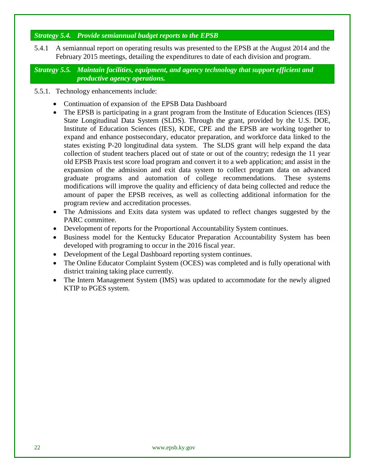# *Strategy 5.4. Provide semiannual budget reports to the EPSB*

5.4.1 A semiannual report on operating results was presented to the EPSB at the August 2014 and the February 2015 meetings, detailing the expenditures to date of each division and program.

*Strategy 5.5. Maintain facilities, equipment, and agency technology that support efficient and productive agency operations.*

- 5.5.1. Technology enhancements include:
	- Continuation of expansion of the EPSB Data Dashboard
	- The EPSB is participating in a grant program from the Institute of Education Sciences (IES) State Longitudinal Data System (SLDS). Through the grant, provided by the U.S. DOE, Institute of Education Sciences (IES), KDE, CPE and the EPSB are working together to expand and enhance postsecondary, educator preparation, and workforce data linked to the states existing P-20 longitudinal data system. The SLDS grant will help expand the data collection of student teachers placed out of state or out of the country; redesign the 11 year old EPSB Praxis test score load program and convert it to a web application; and assist in the expansion of the admission and exit data system to collect program data on advanced graduate programs and automation of college recommendations. These systems modifications will improve the quality and efficiency of data being collected and reduce the amount of paper the EPSB receives, as well as collecting additional information for the program review and accreditation processes.
	- The Admissions and Exits data system was updated to reflect changes suggested by the PARC committee.
	- Development of reports for the Proportional Accountability System continues.
	- Business model for the Kentucky Educator Preparation Accountability System has been developed with programing to occur in the 2016 fiscal year.
	- Development of the Legal Dashboard reporting system continues.
	- The Online Educator Complaint System (OCES) was completed and is fully operational with district training taking place currently.
	- The Intern Management System (IMS) was updated to accommodate for the newly aligned KTIP to PGES system.